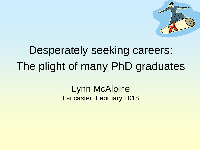

# Desperately seeking careers: The plight of many PhD graduates

### Lynn McAlpine Lancaster, February 2018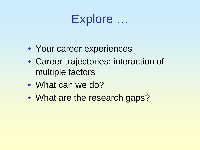# Explore …

- Your career experiences
- Career trajectories: interaction of multiple factors
- What can we do?
- What are the research gaps?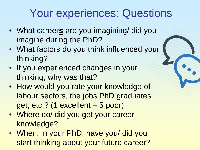# Your experiences: Questions

- What career**s** are you imagining/ did you imagine during the PhD?
- What factors do you think influenced your thinking?
- If you experienced changes in your thinking, why was that?
- How would you rate your knowledge of labour sectors, the jobs PhD graduates get, etc.? (1 excellent – 5 poor)
- Where do/ did you get your career knowledge?
- When, in your PhD, have you/ did you start thinking about your future career?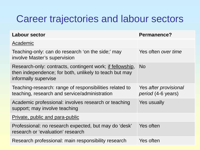## Career trajectories and labour sectors

| Labour sector                                                                                                                               | Permanence?                                 |
|---------------------------------------------------------------------------------------------------------------------------------------------|---------------------------------------------|
| Academic                                                                                                                                    |                                             |
| Teaching-only: can do research 'on the side;' may<br>involve Master's supervision                                                           | Yes often over time                         |
| Research-only: contracts, contingent work; if fellowship,<br>then independence; for both, unlikely to teach but may<br>informally supervise | <b>No</b>                                   |
| Teaching-research: range of responsibilities related to<br>teaching, research and service/administration                                    | Yes after provisional<br>period (4-6 years) |
| Academic professional: involves research or teaching<br>support; may involve teaching                                                       | Yes usually                                 |
| Private, public and para-public                                                                                                             |                                             |
| Professional: no research expected, but may do 'desk'<br>research or 'evaluation' research                                                  | Yes often                                   |
| Research professional: main responsibility research                                                                                         | Yes often                                   |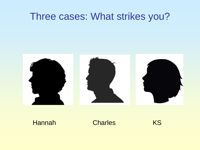## Three cases: What strikes you?



#### Hannah Charles KS

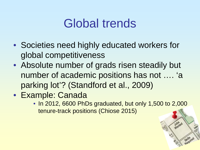# Global trends

- Societies need highly educated workers for global competitiveness
- Absolute number of grads risen steadily but number of academic positions has not …. 'a parking lot'? (Standford et al., 2009)
- Example: Canada
	- In 2012, 6600 PhDs graduated, but only 1,500 to 2,000 tenure-track positions (Chiose 2015)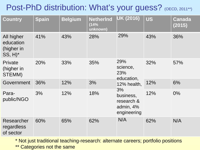## Post-PhD distribution: What's your guess? (OECD, 2011\*\*)

| <b>Country</b>                                                | <b>Spain</b> | <b>Belgium</b> | <b>NetherInd</b><br>(14%<br>unknown) | UK (2016)                                                                                                        | <b>US</b> | Canada<br>(2015) |
|---------------------------------------------------------------|--------------|----------------|--------------------------------------|------------------------------------------------------------------------------------------------------------------|-----------|------------------|
| All higher<br>education<br>(higher in<br>$SS, H$ <sup>*</sup> | 41%          | 43%            | 28%                                  | 29%                                                                                                              | 43%       | 36%              |
| Private<br>(higher in<br>STEMM)                               | 20%          | 33%            | 35%                                  | 29%<br>science,<br>23%<br>education,<br>12% health,<br>3%<br>business,<br>research &<br>admin, 4%<br>engineering | 32%       | 57%              |
| Government                                                    | 36%          | 12%            | 3%                                   |                                                                                                                  | 12%       | 6%               |
| Para-<br>public/NGO                                           | 3%           | 12%            | 18%                                  |                                                                                                                  | 12%       | $0\%$            |
| Researcher<br>regardless<br>of sector                         | 60%          | 65%            | 62%                                  | N/A                                                                                                              | 62%       | N/A              |

\* Not just traditional teaching-research: alternate careers; portfolio positions \*\* Categories not the same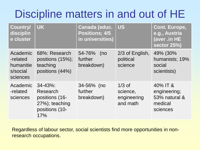# Discipline matters in and out of HE

| <b>Country/</b><br>disciplin<br>e cluster                 | <b>UK</b>                                                                              | Canada (educ.<br><b>Positions; 4/5</b><br>in universities) | <b>US</b>                                       | <b>Cont. Europe,</b><br>e.g., Austria<br>(aver .in HE<br>sector 25%) |
|-----------------------------------------------------------|----------------------------------------------------------------------------------------|------------------------------------------------------------|-------------------------------------------------|----------------------------------------------------------------------|
| Academic<br>-related<br>humanitie<br>s/social<br>sciences | 68%: Research<br>positions $(15%)$ ;<br>teaching<br>positions (44%)                    | 54-76%<br>(no<br>further<br>breakdown)                     | 2/3 of English,<br>political<br>science         | 49% (30%<br>humanists; 19%<br>social<br>scientists)                  |
| Academic<br>-related<br>sciences                          | $34 - 43\%$ :<br>Research<br>positions (16-<br>27%); teaching<br>positions (10-<br>17% | 34-56% (no<br>further<br>breakdown)                        | $1/3$ of<br>science,<br>engineering<br>and math | 40% IT &<br>engineering;<br>53% natural &<br>medical<br>sciences     |

Regardless of labour sector, social scientists find more opportunities in nonresearch occupations.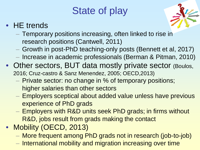# State of play

### • HE trends



- Temporary positions increasing, often linked to rise in research positions (Cantwell, 2011)
- Growth in post-PhD teaching-only posts (Bennett et al, 2017)
- Increase in academic professionals (Berman & Pitman, 2010)
- Other sectors, BUT data mostly private sector (Boulos, 2016; Cruz-castro & Sanz Menendez, 2005; OECD,2013)
	- Private sector: no change in % of temporary positions; higher salaries than other sectors
	- Employers sceptical about added value unless have previous experience of PhD grads
	- Employers with R&D units seek PhD grads; in firms without R&D, jobs result from grads making the contact
- Mobility (OECD, 2013)
	- More frequent among PhD grads not in research (job-to-job)
	- International mobility and migration increasing over time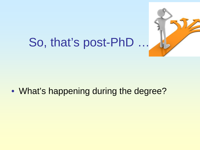

# So, that's post-PhD …

• What's happening during the degree?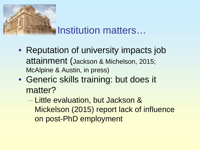

## Institution matters…

- Reputation of university impacts job attainment (Jackson & Michelson, 2015; McAlpine & Austin, in press)
- Generic skills training: but does it matter?
	- Little evaluation, but Jackson & Mickelson (2015) report lack of influence on post-PhD employment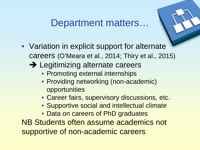## Department matters…

- Variation in explicit support for alternate careers (O'Meara et al., 2014; Thiry et al., 2015)
	- → Legitimizing alternate careers
		- Promoting external internships
		- Providing networking (non-academic) opportunities
		- Career fairs, supervisory discussions, etc.
		- Supportive social and intellectual climate
		- Data on careers of PhD graduates

NB Students often assume academics not supportive of non-academic careers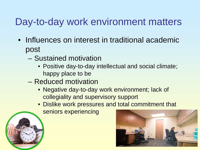## Day-to-day work environment matters

- Influences on interest in traditional academic post
	- Sustained motivation
		- Positive day-to-day intellectual and social climate; happy place to be
	- Reduced motivation
		- Negative day-to-day work environment; lack of collegiality and supervisory support
		- Dislike work pressures and total commitment that

seniors experiencing



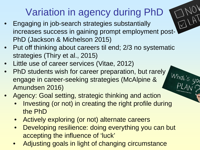# Variation in agency during PhD

 $\bigvee$ 

- Engaging in job-search strategies substantially increases success in gaining prompt employment post-PhD (Jackson & Michelson 2015)
- Put off thinking about careers til end; 2/3 no systematic strategies (Thiry et al., 2015)
- Little use of career services (Vitae, 2012)
- PhD students wish for career preparation, but rarely engage in career-seeking strategies (McAlpine & Amundsen 2016)
- Agency: Goal setting, strategic thinking and action
	- Investing (or not) in creating the right profile during the PhD
	- Actively exploring (or not) alternate careers
	- Developing resilience: doing everything you can but accepting the influence of 'luck'
	- Adjusting goals in light of changing circumstance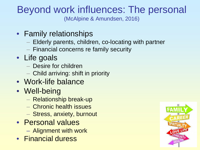#### Beyond work influences: The personal (McAlpine & Amundsen, 2016)

- Family relationships
	- Elderly parents, children, co-locating with partner
	- Financial concerns re family security
- Life goals
	- Desire for children
	- Child arriving: shift in priority
- Work-life balance
- Well-being
	- Relationship break-up
	- Chronic health issues
	- Stress, anxiety, burnout
- Personal values
	- Alignment with work
- Financial duress

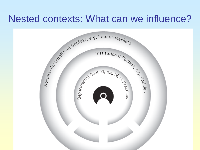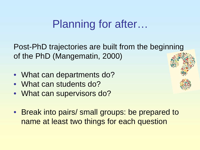## Planning for after…

Post-PhD trajectories are built from the beginning of the PhD (Mangematin, 2000)

- What can departments do?
- What can students do?
- What can supervisors do?
- Break into pairs/ small groups: be prepared to name at least two things for each question

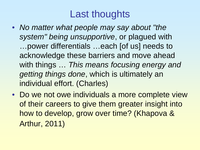## Last thoughts

- *No matter what people may say about "the system" being unsupportive*, or plagued with …power differentials …each [of us] needs to acknowledge these barriers and move ahead with things … *This means focusing energy and getting things done*, which is ultimately an individual effort. (Charles)
- Do we not owe individuals a more complete view of their careers to give them greater insight into how to develop, grow over time? (Khapova & Arthur, 2011)